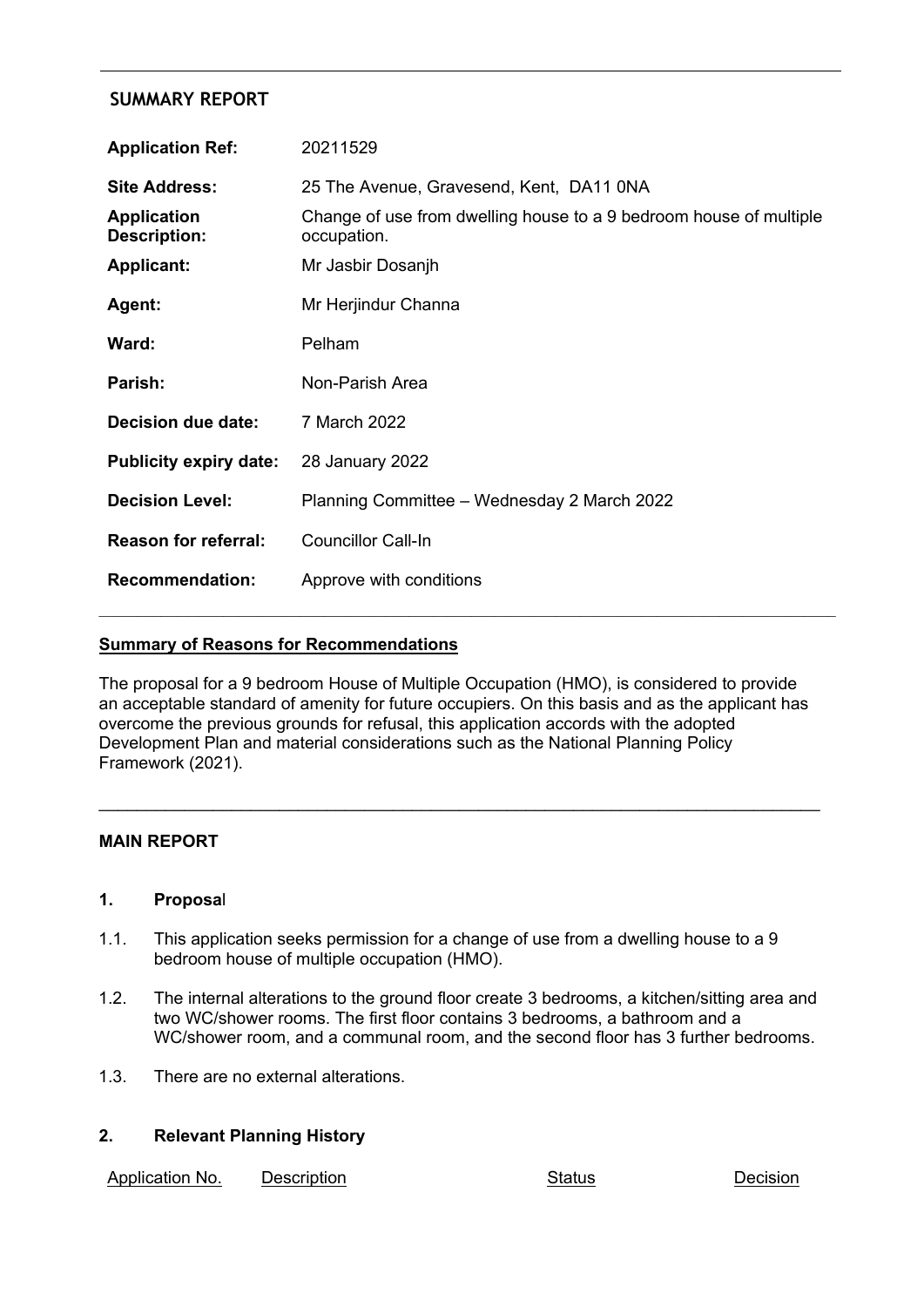# **SUMMARY REPORT**

| <b>Application Ref:</b>                   | 20211529                                                                          |  |
|-------------------------------------------|-----------------------------------------------------------------------------------|--|
| Site Address:                             | 25 The Avenue, Gravesend, Kent, DA11 0NA                                          |  |
| <b>Application</b><br><b>Description:</b> | Change of use from dwelling house to a 9 bedroom house of multiple<br>occupation. |  |
| <b>Applicant:</b>                         | Mr Jasbir Dosanjh                                                                 |  |
| Agent:                                    | Mr Herjindur Channa                                                               |  |
| Ward:                                     | Pelham                                                                            |  |
| Parish:                                   | Non-Parish Area                                                                   |  |
| <b>Decision due date:</b>                 | 7 March 2022                                                                      |  |
| <b>Publicity expiry date:</b>             | 28 January 2022                                                                   |  |
| <b>Decision Level:</b>                    | Planning Committee - Wednesday 2 March 2022                                       |  |
| <b>Reason for referral:</b>               | <b>Councillor Call-In</b>                                                         |  |
| <b>Recommendation:</b>                    | Approve with conditions                                                           |  |

#### **Summary of Reasons for Recommendations**

The proposal for a 9 bedroom House of Multiple Occupation (HMO), is considered to provide an acceptable standard of amenity for future occupiers. On this basis and as the applicant has overcome the previous grounds for refusal, this application accords with the adopted Development Plan and material considerations such as the National Planning Policy Framework (2021).

\_\_\_\_\_\_\_\_\_\_\_\_\_\_\_\_\_\_\_\_\_\_\_\_\_\_\_\_\_\_\_\_\_\_\_\_\_\_\_\_\_\_\_\_\_\_\_\_\_\_\_\_\_\_\_\_\_\_\_\_\_\_\_\_\_\_\_\_\_\_\_\_\_\_\_\_

# **MAIN REPORT**

# **1. Proposa**l

- 1.1. This application seeks permission for a change of use from a dwelling house to a 9 bedroom house of multiple occupation (HMO).
- 1.2. The internal alterations to the ground floor create 3 bedrooms, a kitchen/sitting area and two WC/shower rooms. The first floor contains 3 bedrooms, a bathroom and a WC/shower room, and a communal room, and the second floor has 3 further bedrooms.
- 1.3. There are no external alterations.

# **2. Relevant Planning History**

Application No. Description Contract Contract Contract Contract Contract Decision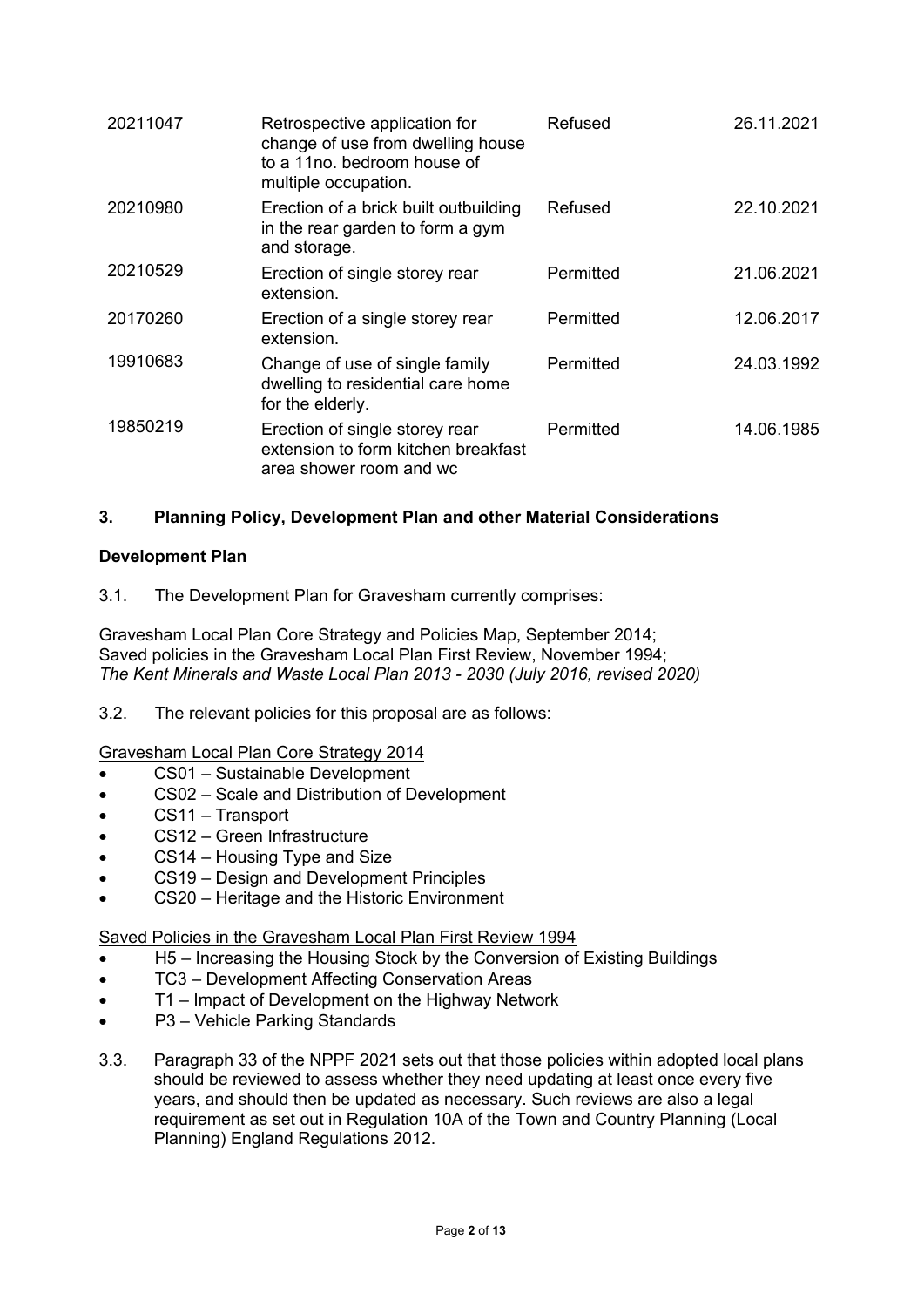| 20211047 | Retrospective application for<br>change of use from dwelling house<br>to a 11no. bedroom house of<br>multiple occupation. | Refused   | 26.11.2021 |
|----------|---------------------------------------------------------------------------------------------------------------------------|-----------|------------|
| 20210980 | Erection of a brick built outbuilding<br>in the rear garden to form a gym<br>and storage.                                 | Refused   | 22.10.2021 |
| 20210529 | Erection of single storey rear<br>extension.                                                                              | Permitted | 21.06.2021 |
| 20170260 | Erection of a single storey rear<br>extension.                                                                            | Permitted | 12.06.2017 |
| 19910683 | Change of use of single family<br>dwelling to residential care home<br>for the elderly.                                   | Permitted | 24.03.1992 |
| 19850219 | Erection of single storey rear<br>extension to form kitchen breakfast<br>area shower room and wc                          | Permitted | 14.06.1985 |

# **3. Planning Policy, Development Plan and other Material Considerations**

# **Development Plan**

3.1. The Development Plan for Gravesham currently comprises:

Gravesham Local Plan Core Strategy and Policies Map, September 2014; Saved policies in the Gravesham Local Plan First Review, November 1994; *The Kent Minerals and Waste Local Plan 2013 - 2030 (July 2016, revised 2020)*

3.2. The relevant policies for this proposal are as follows:

### Gravesham Local Plan Core Strategy 2014

- CS01 Sustainable Development
- CS02 Scale and Distribution of Development
- CS11 Transport
- CS12 Green Infrastructure
- CS14 Housing Type and Size
- CS19 Design and Development Principles
- CS20 Heritage and the Historic Environment

### Saved Policies in the Gravesham Local Plan First Review 1994

- H5 Increasing the Housing Stock by the Conversion of Existing Buildings
- TC3 Development Affecting Conservation Areas
- T1 Impact of Development on the Highway Network
- P3 Vehicle Parking Standards
- 3.3. Paragraph 33 of the NPPF 2021 sets out that those policies within adopted local plans should be reviewed to assess whether they need updating at least once every five years, and should then be updated as necessary. Such reviews are also a legal requirement as set out in Regulation 10A of the Town and Country Planning (Local Planning) England Regulations 2012.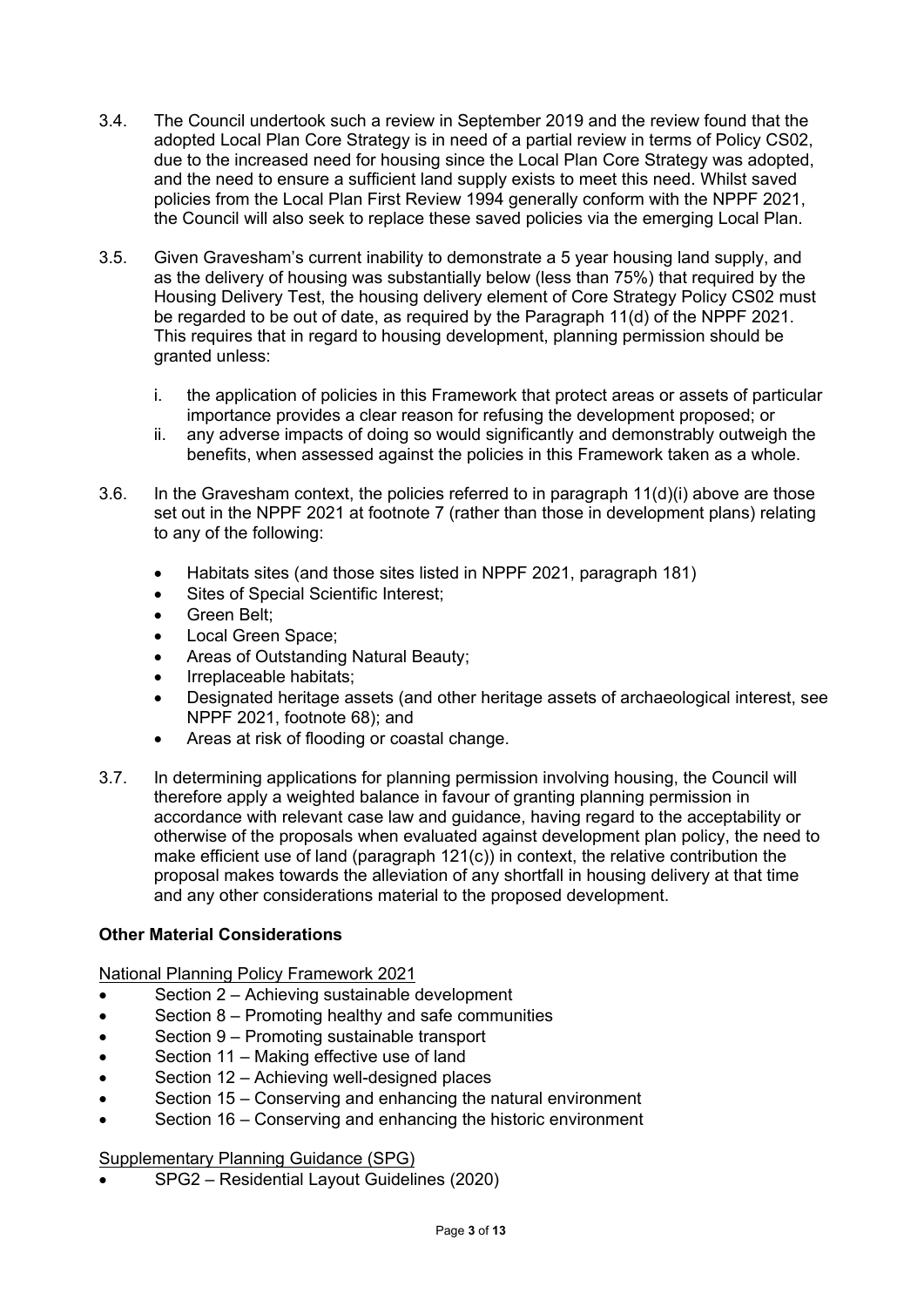- 3.4. The Council undertook such a review in September 2019 and the review found that the adopted Local Plan Core Strategy is in need of a partial review in terms of Policy CS02, due to the increased need for housing since the Local Plan Core Strategy was adopted, and the need to ensure a sufficient land supply exists to meet this need. Whilst saved policies from the Local Plan First Review 1994 generally conform with the NPPF 2021, the Council will also seek to replace these saved policies via the emerging Local Plan.
- 3.5. Given Gravesham's current inability to demonstrate a 5 year housing land supply, and as the delivery of housing was substantially below (less than 75%) that required by the Housing Delivery Test, the housing delivery element of Core Strategy Policy CS02 must be regarded to be out of date, as required by the Paragraph 11(d) of the NPPF 2021. This requires that in regard to housing development, planning permission should be granted unless:
	- i. the application of policies in this Framework that protect areas or assets of particular importance provides a clear reason for refusing the development proposed; or
	- ii. any adverse impacts of doing so would significantly and demonstrably outweigh the benefits, when assessed against the policies in this Framework taken as a whole.
- 3.6. In the Gravesham context, the policies referred to in paragraph 11(d)(i) above are those set out in the NPPF 2021 at footnote 7 (rather than those in development plans) relating to any of the following:
	- Habitats sites (and those sites listed in NPPF 2021, paragraph 181)
	- Sites of Special Scientific Interest;
	- Green Belt;
	- Local Green Space;
	- Areas of Outstanding Natural Beauty;
	- Irreplaceable habitats;
	- Designated heritage assets (and other heritage assets of archaeological interest, see NPPF 2021, footnote 68); and
	- Areas at risk of flooding or coastal change.
- 3.7. In determining applications for planning permission involving housing, the Council will therefore apply a weighted balance in favour of granting planning permission in accordance with relevant case law and guidance, having regard to the acceptability or otherwise of the proposals when evaluated against development plan policy, the need to make efficient use of land (paragraph 121(c)) in context, the relative contribution the proposal makes towards the alleviation of any shortfall in housing delivery at that time and any other considerations material to the proposed development.

### **Other Material Considerations**

National Planning Policy Framework 2021

- Section 2 Achieving sustainable development
- Section 8 Promoting healthy and safe communities
- Section 9 Promoting sustainable transport
- Section 11 Making effective use of land
- Section 12 Achieving well-designed places
- Section 15 Conserving and enhancing the natural environment
- Section 16 Conserving and enhancing the historic environment

### Supplementary Planning Guidance (SPG)

SPG2 – Residential Layout Guidelines (2020)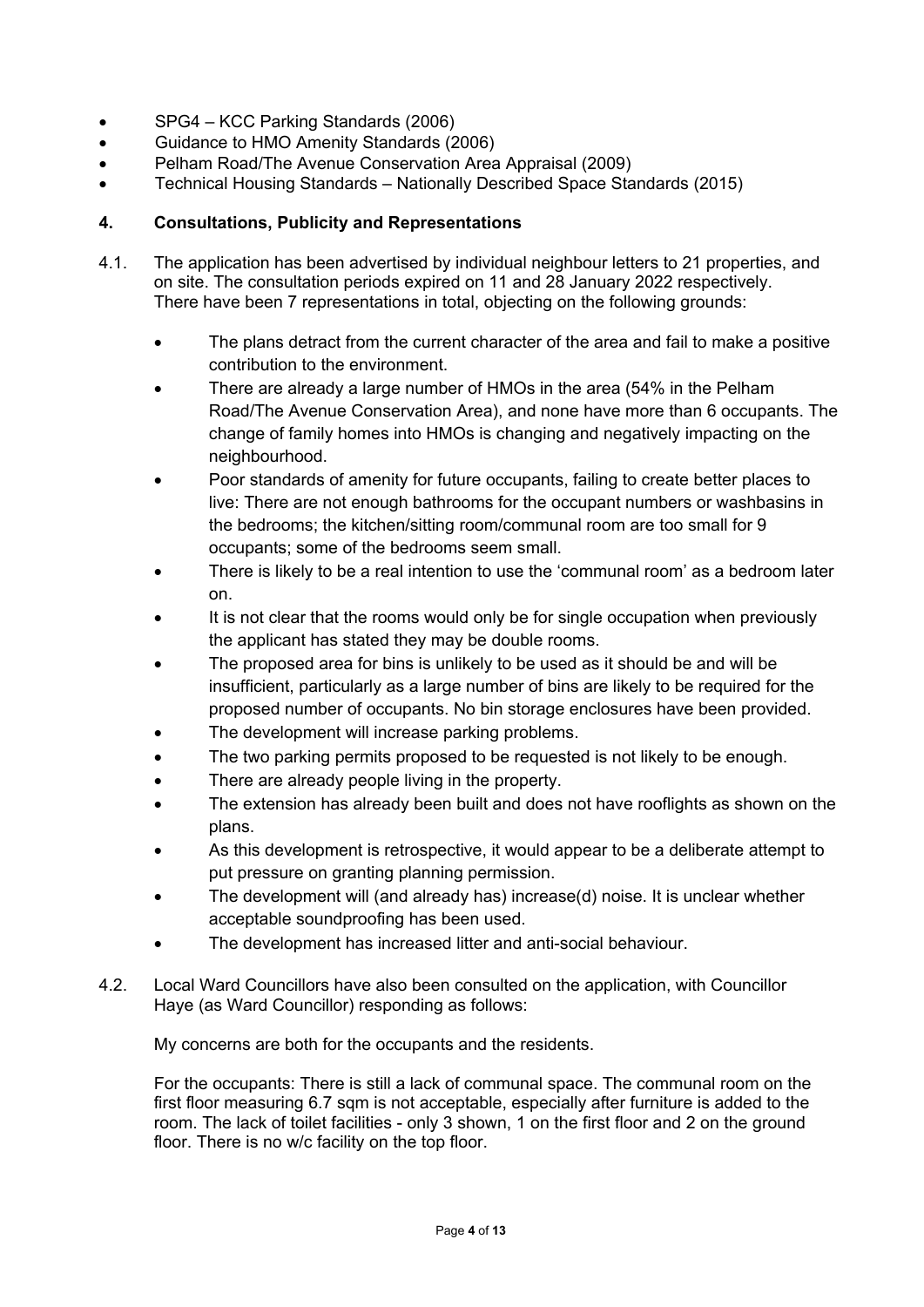- SPG4 KCC Parking Standards (2006)
- Guidance to HMO Amenity Standards (2006)
- Pelham Road/The Avenue Conservation Area Appraisal (2009)
- Technical Housing Standards Nationally Described Space Standards (2015)

# **4. Consultations, Publicity and Representations**

- 4.1. The application has been advertised by individual neighbour letters to 21 properties, and on site. The consultation periods expired on 11 and 28 January 2022 respectively. There have been 7 representations in total, objecting on the following grounds:
	- The plans detract from the current character of the area and fail to make a positive contribution to the environment.
	- There are already a large number of HMOs in the area (54% in the Pelham Road/The Avenue Conservation Area), and none have more than 6 occupants. The change of family homes into HMOs is changing and negatively impacting on the neighbourhood.
	- Poor standards of amenity for future occupants, failing to create better places to live: There are not enough bathrooms for the occupant numbers or washbasins in the bedrooms; the kitchen/sitting room/communal room are too small for 9 occupants; some of the bedrooms seem small.
	- There is likely to be a real intention to use the 'communal room' as a bedroom later on.
	- It is not clear that the rooms would only be for single occupation when previously the applicant has stated they may be double rooms.
	- The proposed area for bins is unlikely to be used as it should be and will be insufficient, particularly as a large number of bins are likely to be required for the proposed number of occupants. No bin storage enclosures have been provided.
	- The development will increase parking problems.
	- The two parking permits proposed to be requested is not likely to be enough.
	- There are already people living in the property.
	- The extension has already been built and does not have rooflights as shown on the plans.
	- As this development is retrospective, it would appear to be a deliberate attempt to put pressure on granting planning permission.
	- The development will (and already has) increase(d) noise. It is unclear whether acceptable soundproofing has been used.
	- The development has increased litter and anti-social behaviour.
- 4.2. Local Ward Councillors have also been consulted on the application, with Councillor Haye (as Ward Councillor) responding as follows:

My concerns are both for the occupants and the residents.

For the occupants: There is still a lack of communal space. The communal room on the first floor measuring 6.7 sqm is not acceptable, especially after furniture is added to the room. The lack of toilet facilities - only 3 shown, 1 on the first floor and 2 on the ground floor. There is no w/c facility on the top floor.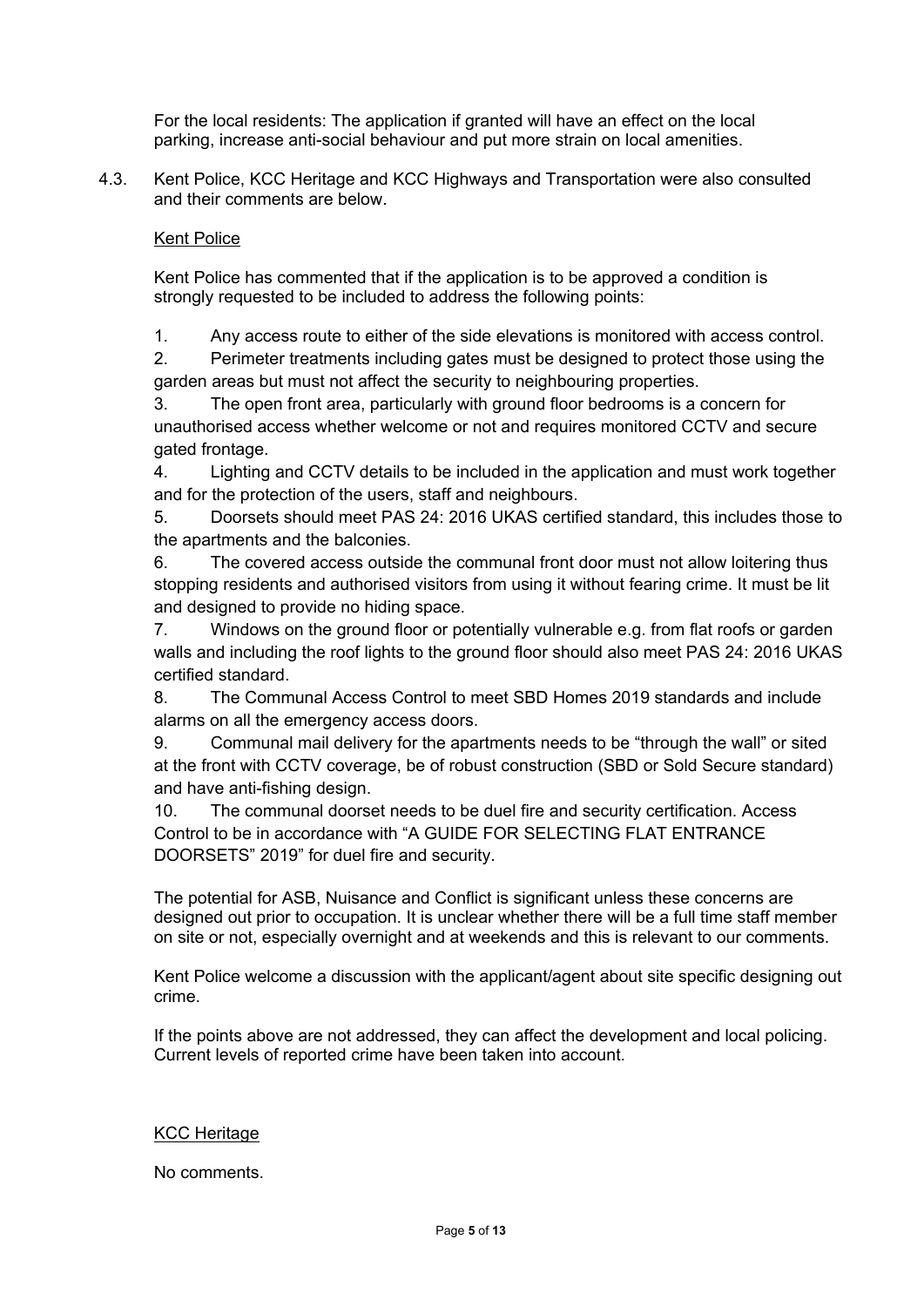For the local residents: The application if granted will have an effect on the local parking, increase anti-social behaviour and put more strain on local amenities.

4.3. Kent Police, KCC Heritage and KCC Highways and Transportation were also consulted and their comments are below.

# Kent Police

Kent Police has commented that if the application is to be approved a condition is strongly requested to be included to address the following points:

1. Any access route to either of the side elevations is monitored with access control.

2. Perimeter treatments including gates must be designed to protect those using the garden areas but must not affect the security to neighbouring properties.

3. The open front area, particularly with ground floor bedrooms is a concern for unauthorised access whether welcome or not and requires monitored CCTV and secure gated frontage.

4. Lighting and CCTV details to be included in the application and must work together and for the protection of the users, staff and neighbours.

5. Doorsets should meet PAS 24: 2016 UKAS certified standard, this includes those to the apartments and the balconies.

6. The covered access outside the communal front door must not allow loitering thus stopping residents and authorised visitors from using it without fearing crime. It must be lit and designed to provide no hiding space.

7. Windows on the ground floor or potentially vulnerable e.g. from flat roofs or garden walls and including the roof lights to the ground floor should also meet PAS 24: 2016 UKAS certified standard.

8. The Communal Access Control to meet SBD Homes 2019 standards and include alarms on all the emergency access doors.

9. Communal mail delivery for the apartments needs to be "through the wall" or sited at the front with CCTV coverage, be of robust construction (SBD or Sold Secure standard) and have anti-fishing design.

10. The communal doorset needs to be duel fire and security certification. Access Control to be in accordance with "A GUIDE FOR SELECTING FLAT ENTRANCE DOORSETS" 2019" for duel fire and security.

The potential for ASB, Nuisance and Conflict is significant unless these concerns are designed out prior to occupation. It is unclear whether there will be a full time staff member on site or not, especially overnight and at weekends and this is relevant to our comments.

Kent Police welcome a discussion with the applicant/agent about site specific designing out crime.

If the points above are not addressed, they can affect the development and local policing. Current levels of reported crime have been taken into account.

### KCC Heritage

### No comments.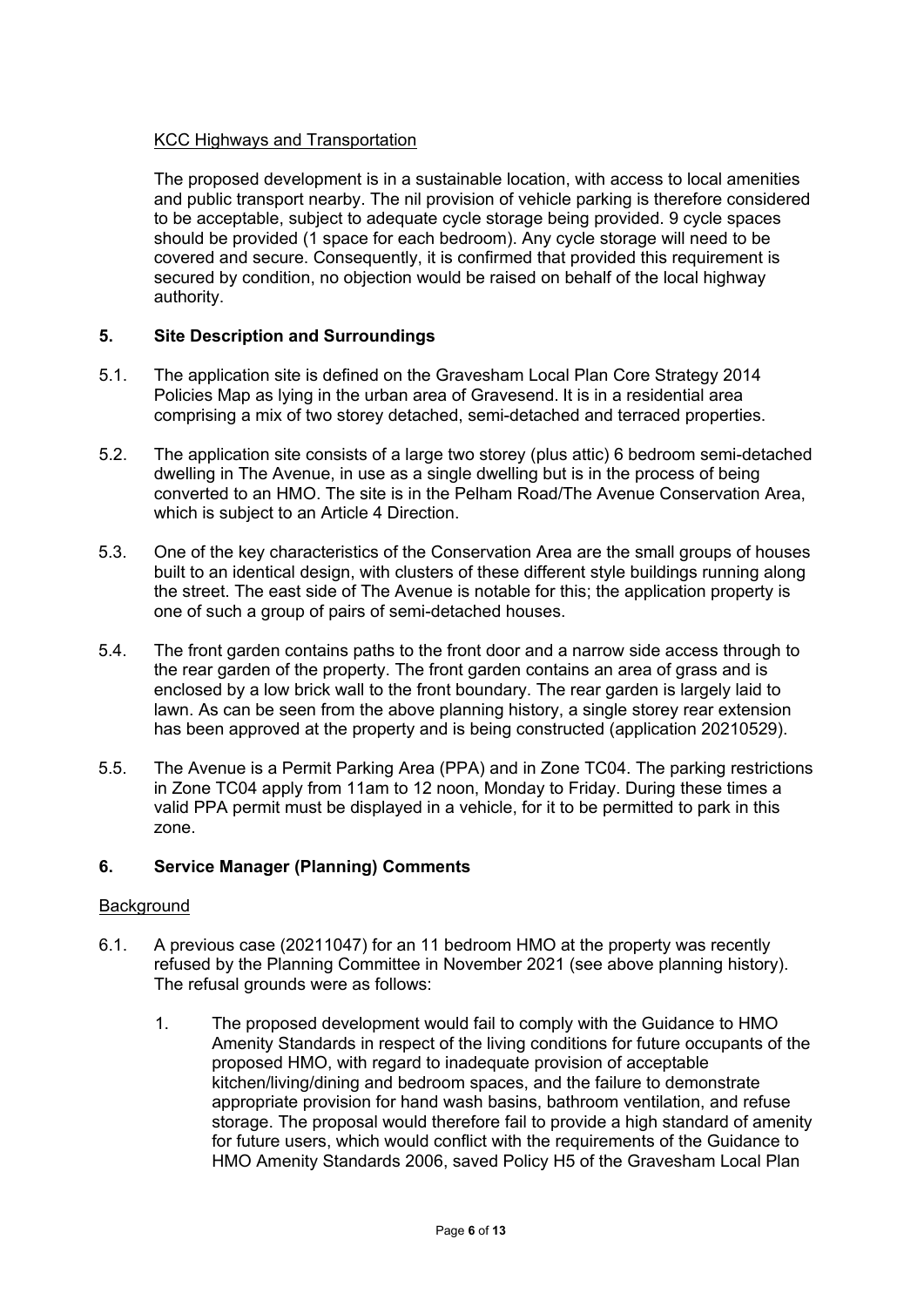# KCC Highways and Transportation

The proposed development is in a sustainable location, with access to local amenities and public transport nearby. The nil provision of vehicle parking is therefore considered to be acceptable, subject to adequate cycle storage being provided. 9 cycle spaces should be provided (1 space for each bedroom). Any cycle storage will need to be covered and secure. Consequently, it is confirmed that provided this requirement is secured by condition, no objection would be raised on behalf of the local highway authority.

# **5. Site Description and Surroundings**

- 5.1. The application site is defined on the Gravesham Local Plan Core Strategy 2014 Policies Map as lying in the urban area of Gravesend. It is in a residential area comprising a mix of two storey detached, semi-detached and terraced properties.
- 5.2. The application site consists of a large two storey (plus attic) 6 bedroom semi-detached dwelling in The Avenue, in use as a single dwelling but is in the process of being converted to an HMO. The site is in the Pelham Road/The Avenue Conservation Area, which is subject to an Article 4 Direction.
- 5.3. One of the key characteristics of the Conservation Area are the small groups of houses built to an identical design, with clusters of these different style buildings running along the street. The east side of The Avenue is notable for this; the application property is one of such a group of pairs of semi-detached houses.
- 5.4. The front garden contains paths to the front door and a narrow side access through to the rear garden of the property. The front garden contains an area of grass and is enclosed by a low brick wall to the front boundary. The rear garden is largely laid to lawn. As can be seen from the above planning history, a single storey rear extension has been approved at the property and is being constructed (application 20210529).
- 5.5. The Avenue is a Permit Parking Area (PPA) and in Zone TC04. The parking restrictions in Zone TC04 apply from 11am to 12 noon, Monday to Friday. During these times a valid PPA permit must be displayed in a vehicle, for it to be permitted to park in this zone.

### **6. Service Manager (Planning) Comments**

### **Background**

- 6.1. A previous case (20211047) for an 11 bedroom HMO at the property was recently refused by the Planning Committee in November 2021 (see above planning history). The refusal grounds were as follows:
	- 1. The proposed development would fail to comply with the Guidance to HMO Amenity Standards in respect of the living conditions for future occupants of the proposed HMO, with regard to inadequate provision of acceptable kitchen/living/dining and bedroom spaces, and the failure to demonstrate appropriate provision for hand wash basins, bathroom ventilation, and refuse storage. The proposal would therefore fail to provide a high standard of amenity for future users, which would conflict with the requirements of the Guidance to HMO Amenity Standards 2006, saved Policy H5 of the Gravesham Local Plan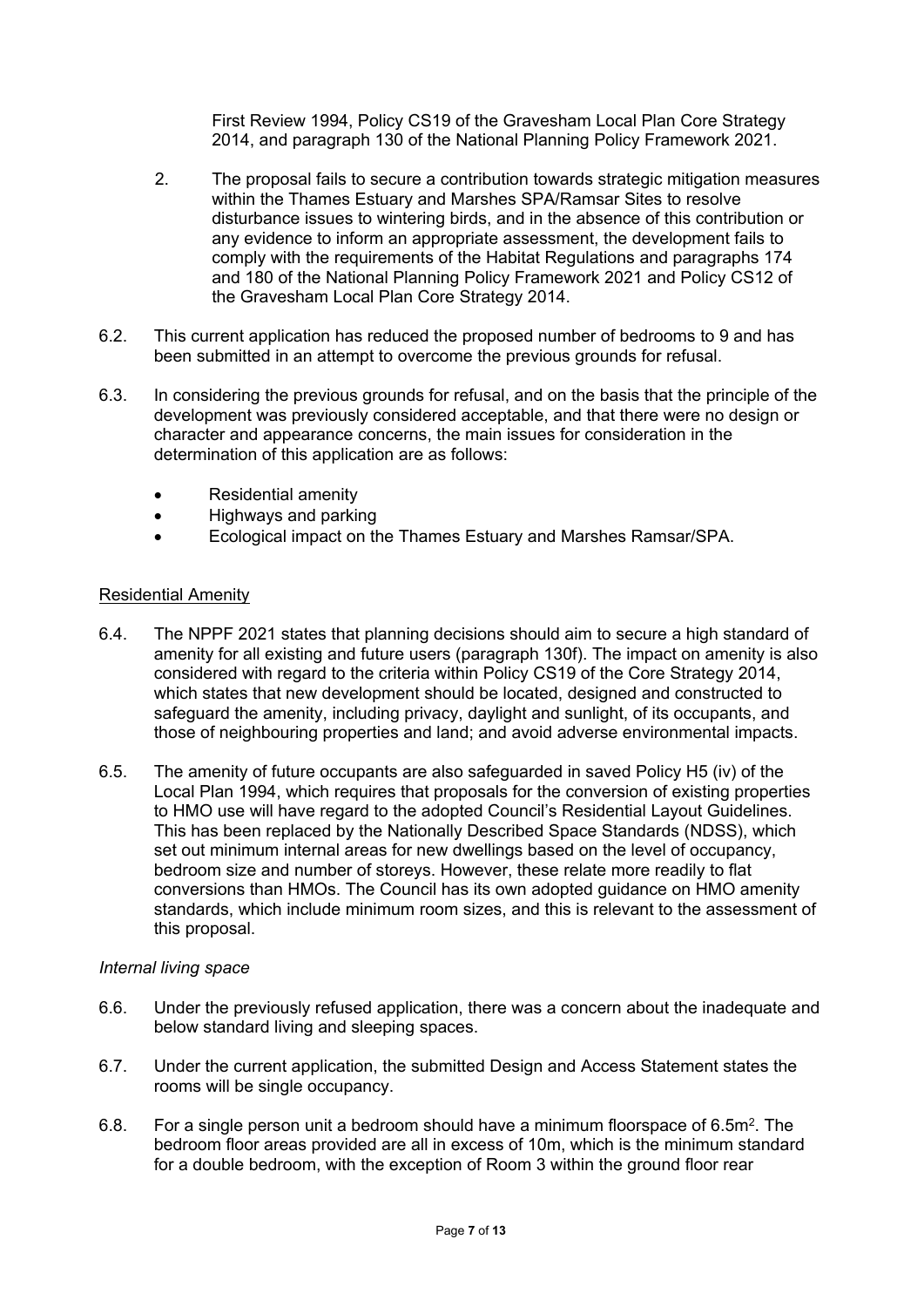First Review 1994, Policy CS19 of the Gravesham Local Plan Core Strategy 2014, and paragraph 130 of the National Planning Policy Framework 2021.

- 2. The proposal fails to secure a contribution towards strategic mitigation measures within the Thames Estuary and Marshes SPA/Ramsar Sites to resolve disturbance issues to wintering birds, and in the absence of this contribution or any evidence to inform an appropriate assessment, the development fails to comply with the requirements of the Habitat Regulations and paragraphs 174 and 180 of the National Planning Policy Framework 2021 and Policy CS12 of the Gravesham Local Plan Core Strategy 2014.
- 6.2. This current application has reduced the proposed number of bedrooms to 9 and has been submitted in an attempt to overcome the previous grounds for refusal.
- 6.3. In considering the previous grounds for refusal, and on the basis that the principle of the development was previously considered acceptable, and that there were no design or character and appearance concerns, the main issues for consideration in the determination of this application are as follows:
	- Residential amenity
	- Highways and parking
	- Ecological impact on the Thames Estuary and Marshes Ramsar/SPA.

### Residential Amenity

- 6.4. The NPPF 2021 states that planning decisions should aim to secure a high standard of amenity for all existing and future users (paragraph 130f). The impact on amenity is also considered with regard to the criteria within Policy CS19 of the Core Strategy 2014, which states that new development should be located, designed and constructed to safeguard the amenity, including privacy, daylight and sunlight, of its occupants, and those of neighbouring properties and land; and avoid adverse environmental impacts.
- 6.5. The amenity of future occupants are also safeguarded in saved Policy H5 (iv) of the Local Plan 1994, which requires that proposals for the conversion of existing properties to HMO use will have regard to the adopted Council's Residential Layout Guidelines. This has been replaced by the Nationally Described Space Standards (NDSS), which set out minimum internal areas for new dwellings based on the level of occupancy, bedroom size and number of storeys. However, these relate more readily to flat conversions than HMOs. The Council has its own adopted guidance on HMO amenity standards, which include minimum room sizes, and this is relevant to the assessment of this proposal.

#### *Internal living space*

- 6.6. Under the previously refused application, there was a concern about the inadequate and below standard living and sleeping spaces.
- 6.7. Under the current application, the submitted Design and Access Statement states the rooms will be single occupancy.
- 6.8. For a single person unit a bedroom should have a minimum floorspace of 6.5m<sup>2</sup>. The bedroom floor areas provided are all in excess of 10m, which is the minimum standard for a double bedroom, with the exception of Room 3 within the ground floor rear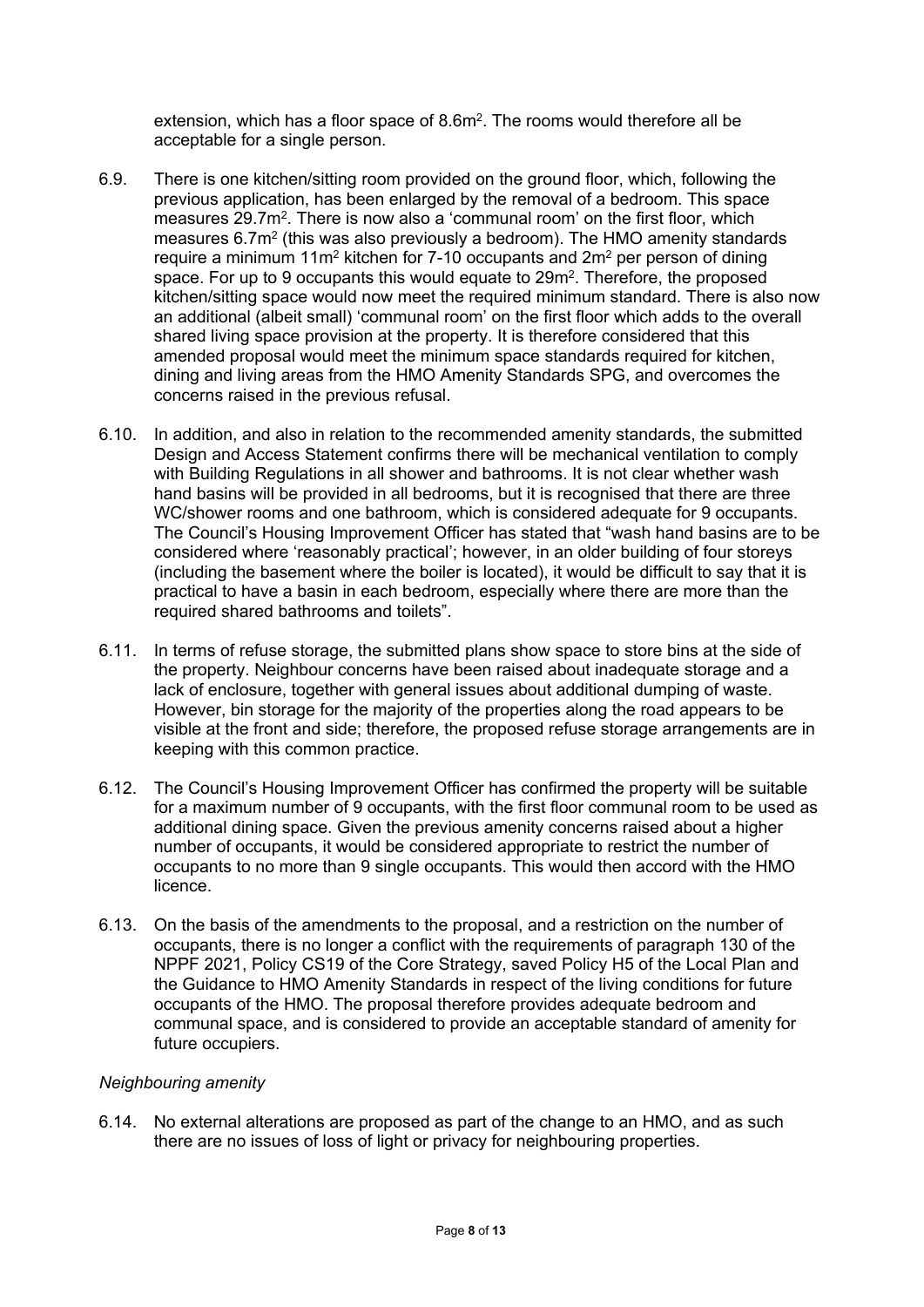extension, which has a floor space of 8.6m<sup>2</sup>. The rooms would therefore all be acceptable for a single person.

- 6.9. There is one kitchen/sitting room provided on the ground floor, which, following the previous application, has been enlarged by the removal of a bedroom. This space measures 29.7m<sup>2</sup>. There is now also a 'communal room' on the first floor, which measures 6.7m<sup>2</sup> (this was also previously a bedroom). The HMO amenity standards require a minimum  $11m^2$  kitchen for 7-10 occupants and  $2m^2$  per person of dining space. For up to 9 occupants this would equate to 29m<sup>2</sup>. Therefore, the proposed kitchen/sitting space would now meet the required minimum standard. There is also now an additional (albeit small) 'communal room' on the first floor which adds to the overall shared living space provision at the property. It is therefore considered that this amended proposal would meet the minimum space standards required for kitchen, dining and living areas from the HMO Amenity Standards SPG, and overcomes the concerns raised in the previous refusal.
- 6.10. In addition, and also in relation to the recommended amenity standards, the submitted Design and Access Statement confirms there will be mechanical ventilation to comply with Building Regulations in all shower and bathrooms. It is not clear whether wash hand basins will be provided in all bedrooms, but it is recognised that there are three WC/shower rooms and one bathroom, which is considered adequate for 9 occupants. The Council's Housing Improvement Officer has stated that "wash hand basins are to be considered where 'reasonably practical'; however, in an older building of four storeys (including the basement where the boiler is located), it would be difficult to say that it is practical to have a basin in each bedroom, especially where there are more than the required shared bathrooms and toilets".
- 6.11. In terms of refuse storage, the submitted plans show space to store bins at the side of the property. Neighbour concerns have been raised about inadequate storage and a lack of enclosure, together with general issues about additional dumping of waste. However, bin storage for the majority of the properties along the road appears to be visible at the front and side; therefore, the proposed refuse storage arrangements are in keeping with this common practice.
- 6.12. The Council's Housing Improvement Officer has confirmed the property will be suitable for a maximum number of 9 occupants, with the first floor communal room to be used as additional dining space. Given the previous amenity concerns raised about a higher number of occupants, it would be considered appropriate to restrict the number of occupants to no more than 9 single occupants. This would then accord with the HMO licence.
- 6.13. On the basis of the amendments to the proposal, and a restriction on the number of occupants, there is no longer a conflict with the requirements of paragraph 130 of the NPPF 2021, Policy CS19 of the Core Strategy, saved Policy H5 of the Local Plan and the Guidance to HMO Amenity Standards in respect of the living conditions for future occupants of the HMO. The proposal therefore provides adequate bedroom and communal space, and is considered to provide an acceptable standard of amenity for future occupiers.

### *Neighbouring amenity*

6.14. No external alterations are proposed as part of the change to an HMO, and as such there are no issues of loss of light or privacy for neighbouring properties.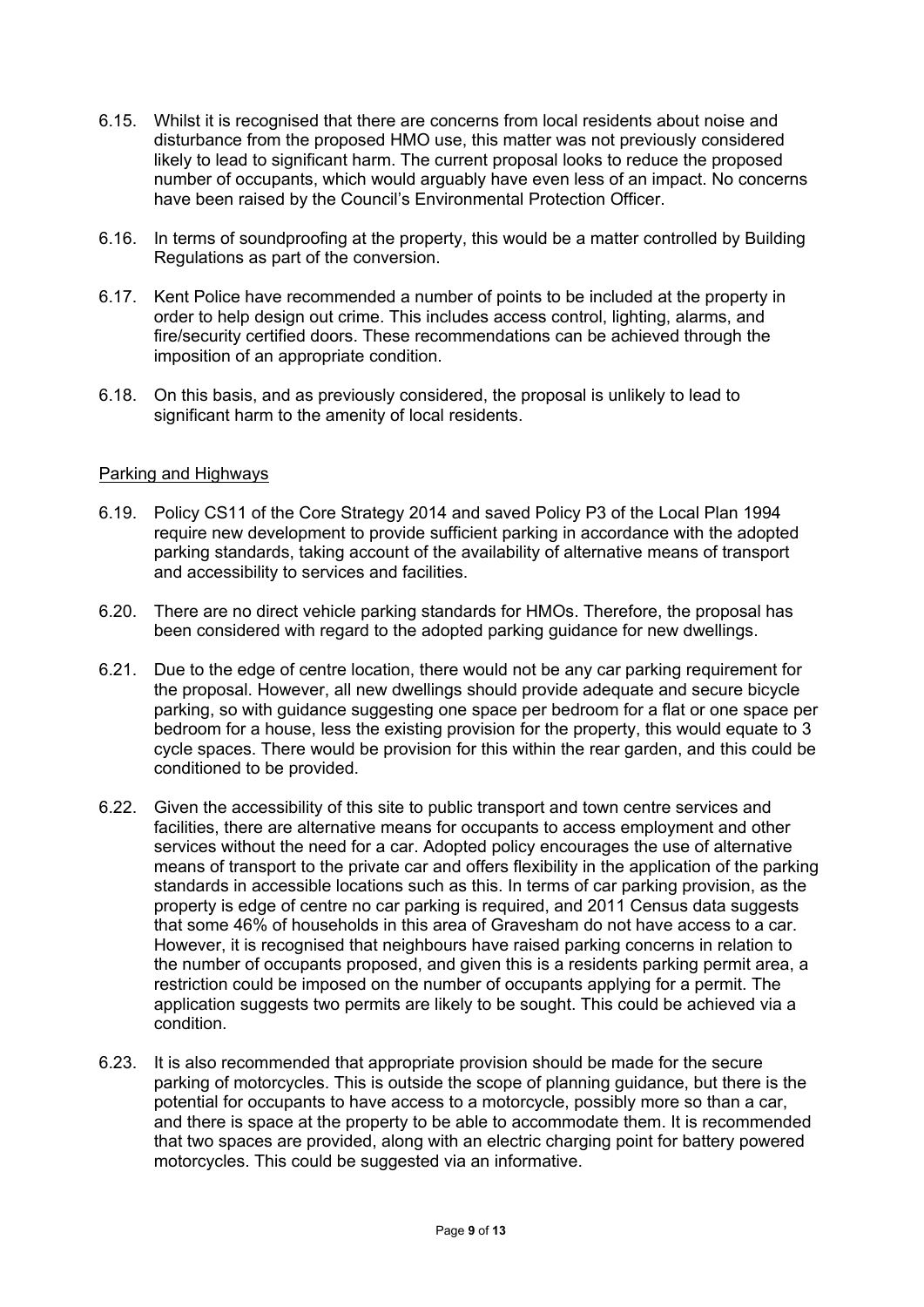- 6.15. Whilst it is recognised that there are concerns from local residents about noise and disturbance from the proposed HMO use, this matter was not previously considered likely to lead to significant harm. The current proposal looks to reduce the proposed number of occupants, which would arguably have even less of an impact. No concerns have been raised by the Council's Environmental Protection Officer.
- 6.16. In terms of soundproofing at the property, this would be a matter controlled by Building Regulations as part of the conversion.
- 6.17. Kent Police have recommended a number of points to be included at the property in order to help design out crime. This includes access control, lighting, alarms, and fire/security certified doors. These recommendations can be achieved through the imposition of an appropriate condition.
- 6.18. On this basis, and as previously considered, the proposal is unlikely to lead to significant harm to the amenity of local residents.

#### Parking and Highways

- 6.19. Policy CS11 of the Core Strategy 2014 and saved Policy P3 of the Local Plan 1994 require new development to provide sufficient parking in accordance with the adopted parking standards, taking account of the availability of alternative means of transport and accessibility to services and facilities.
- 6.20. There are no direct vehicle parking standards for HMOs. Therefore, the proposal has been considered with regard to the adopted parking guidance for new dwellings.
- 6.21. Due to the edge of centre location, there would not be any car parking requirement for the proposal. However, all new dwellings should provide adequate and secure bicycle parking, so with guidance suggesting one space per bedroom for a flat or one space per bedroom for a house, less the existing provision for the property, this would equate to 3 cycle spaces. There would be provision for this within the rear garden, and this could be conditioned to be provided.
- 6.22. Given the accessibility of this site to public transport and town centre services and facilities, there are alternative means for occupants to access employment and other services without the need for a car. Adopted policy encourages the use of alternative means of transport to the private car and offers flexibility in the application of the parking standards in accessible locations such as this. In terms of car parking provision, as the property is edge of centre no car parking is required, and 2011 Census data suggests that some 46% of households in this area of Gravesham do not have access to a car. However, it is recognised that neighbours have raised parking concerns in relation to the number of occupants proposed, and given this is a residents parking permit area, a restriction could be imposed on the number of occupants applying for a permit. The application suggests two permits are likely to be sought. This could be achieved via a condition.
- 6.23. It is also recommended that appropriate provision should be made for the secure parking of motorcycles. This is outside the scope of planning guidance, but there is the potential for occupants to have access to a motorcycle, possibly more so than a car, and there is space at the property to be able to accommodate them. It is recommended that two spaces are provided, along with an electric charging point for battery powered motorcycles. This could be suggested via an informative.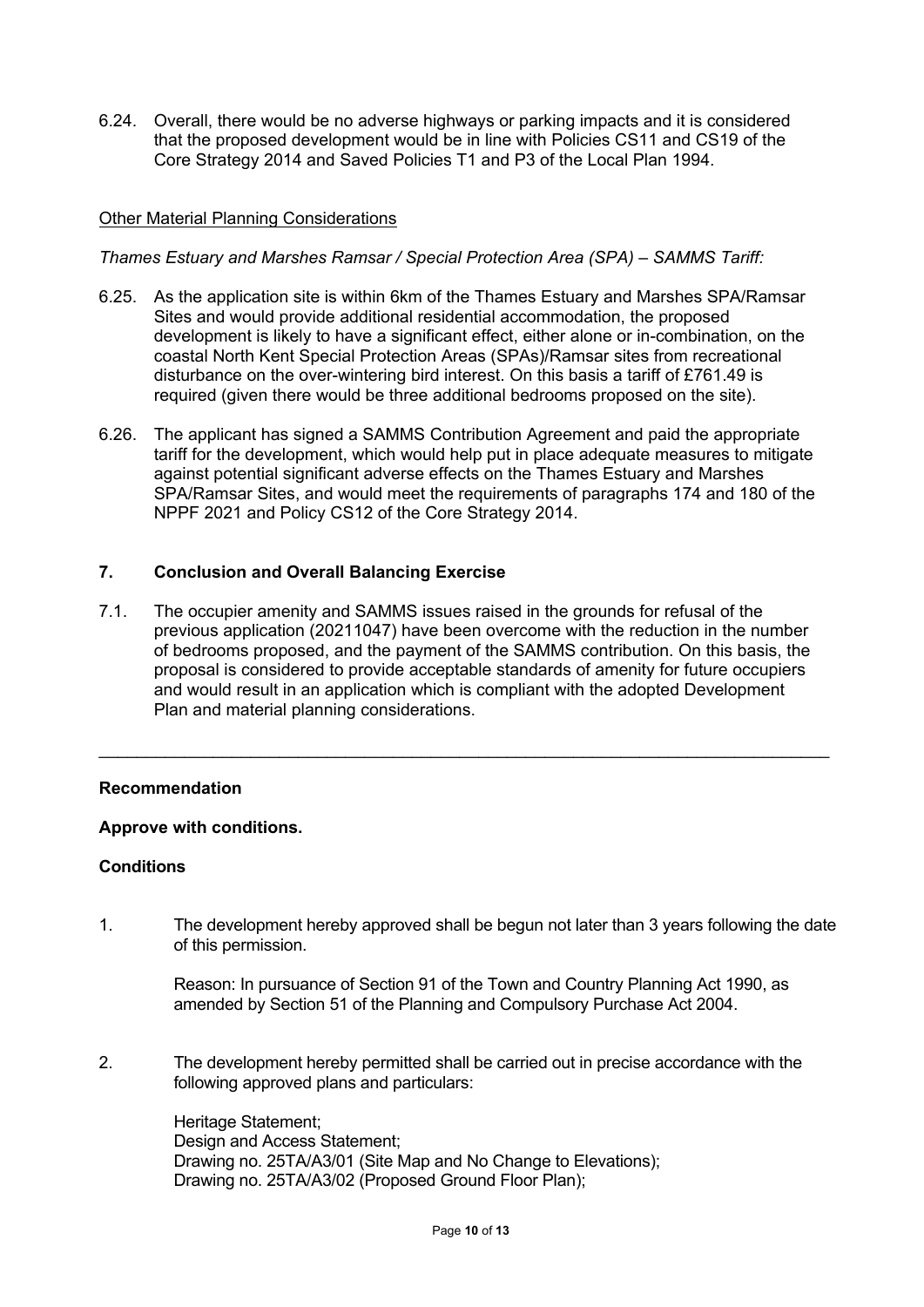6.24. Overall, there would be no adverse highways or parking impacts and it is considered that the proposed development would be in line with Policies CS11 and CS19 of the Core Strategy 2014 and Saved Policies T1 and P3 of the Local Plan 1994.

# Other Material Planning Considerations

#### *Thames Estuary and Marshes Ramsar / Special Protection Area (SPA) – SAMMS Tariff:*

- 6.25. As the application site is within 6km of the Thames Estuary and Marshes SPA/Ramsar Sites and would provide additional residential accommodation, the proposed development is likely to have a significant effect, either alone or in-combination, on the coastal North Kent Special Protection Areas (SPAs)/Ramsar sites from recreational disturbance on the over-wintering bird interest. On this basis a tariff of £761.49 is required (given there would be three additional bedrooms proposed on the site).
- 6.26. The applicant has signed a SAMMS Contribution Agreement and paid the appropriate tariff for the development, which would help put in place adequate measures to mitigate against potential significant adverse effects on the Thames Estuary and Marshes SPA/Ramsar Sites, and would meet the requirements of paragraphs 174 and 180 of the NPPF 2021 and Policy CS12 of the Core Strategy 2014.

### **7. Conclusion and Overall Balancing Exercise**

7.1. The occupier amenity and SAMMS issues raised in the grounds for refusal of the previous application (20211047) have been overcome with the reduction in the number of bedrooms proposed, and the payment of the SAMMS contribution. On this basis, the proposal is considered to provide acceptable standards of amenity for future occupiers and would result in an application which is compliant with the adopted Development Plan and material planning considerations.

\_\_\_\_\_\_\_\_\_\_\_\_\_\_\_\_\_\_\_\_\_\_\_\_\_\_\_\_\_\_\_\_\_\_\_\_\_\_\_\_\_\_\_\_\_\_\_\_\_\_\_\_\_\_\_\_\_\_\_\_\_\_\_\_\_\_\_\_\_\_\_\_\_\_\_\_\_

### **Recommendation**

### **Approve with conditions.**

#### **Conditions**

1. The development hereby approved shall be begun not later than 3 years following the date of this permission.

Reason: In pursuance of Section 91 of the Town and Country Planning Act 1990, as amended by Section 51 of the Planning and Compulsory Purchase Act 2004.

2. The development hereby permitted shall be carried out in precise accordance with the following approved plans and particulars:

> Heritage Statement; Design and Access Statement; Drawing no. 25TA/A3/01 (Site Map and No Change to Elevations); Drawing no. 25TA/A3/02 (Proposed Ground Floor Plan);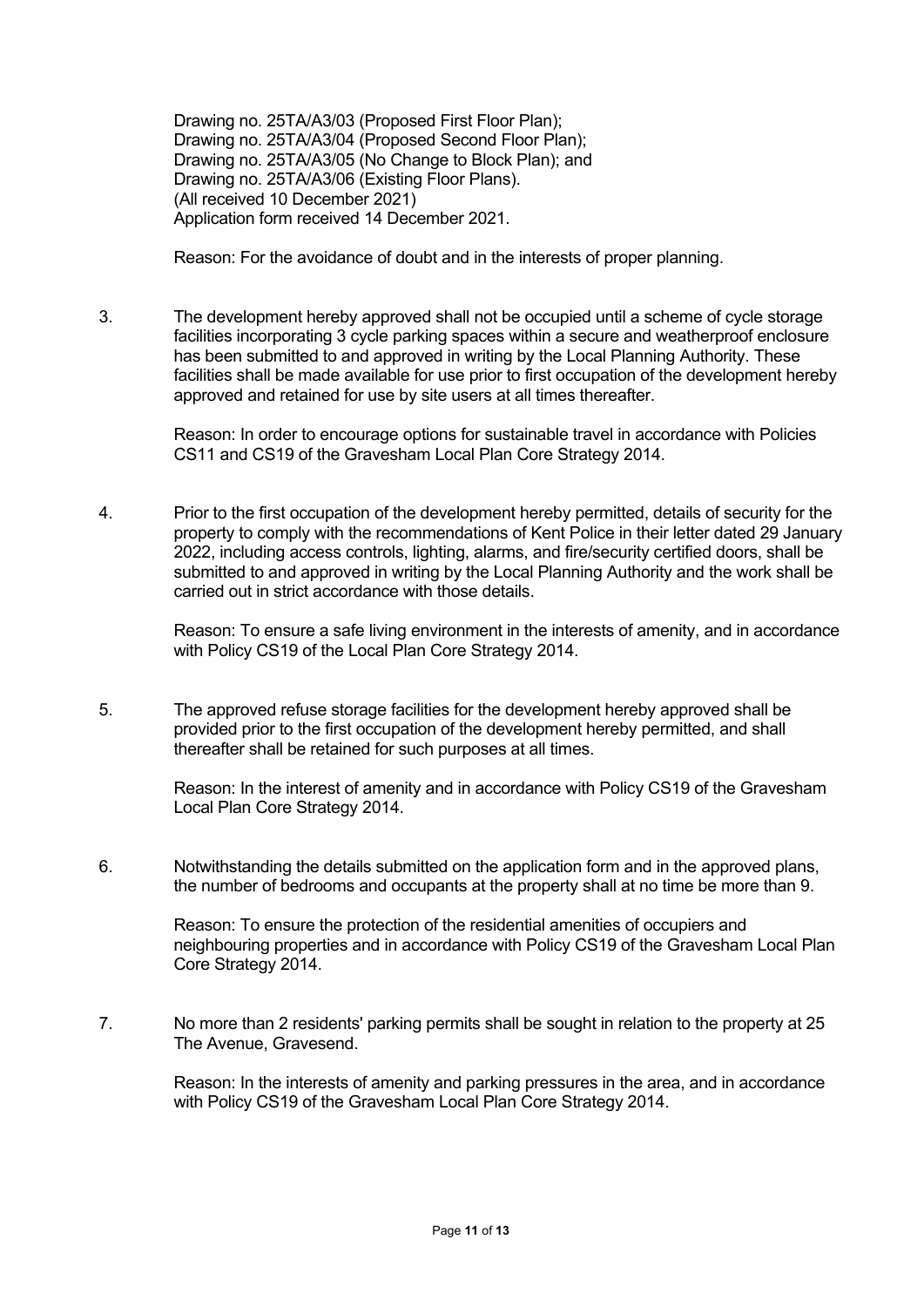Drawing no. 25TA/A3/03 (Proposed First Floor Plan); Drawing no. 25TA/A3/04 (Proposed Second Floor Plan); Drawing no. 25TA/A3/05 (No Change to Block Plan); and Drawing no. 25TA/A3/06 (Existing Floor Plans). (All received 10 December 2021) Application form received 14 December 2021.

Reason: For the avoidance of doubt and in the interests of proper planning.

3. The development hereby approved shall not be occupied until a scheme of cycle storage facilities incorporating 3 cycle parking spaces within a secure and weatherproof enclosure has been submitted to and approved in writing by the Local Planning Authority. These facilities shall be made available for use prior to first occupation of the development hereby approved and retained for use by site users at all times thereafter.

> Reason: In order to encourage options for sustainable travel in accordance with Policies CS11 and CS19 of the Gravesham Local Plan Core Strategy 2014.

4. Prior to the first occupation of the development hereby permitted, details of security for the property to comply with the recommendations of Kent Police in their letter dated 29 January 2022, including access controls, lighting, alarms, and fire/security certified doors, shall be submitted to and approved in writing by the Local Planning Authority and the work shall be carried out in strict accordance with those details.

Reason: To ensure a safe living environment in the interests of amenity, and in accordance with Policy CS19 of the Local Plan Core Strategy 2014.

5. The approved refuse storage facilities for the development hereby approved shall be provided prior to the first occupation of the development hereby permitted, and shall thereafter shall be retained for such purposes at all times.

> Reason: In the interest of amenity and in accordance with Policy CS19 of the Gravesham Local Plan Core Strategy 2014.

6. Notwithstanding the details submitted on the application form and in the approved plans, the number of bedrooms and occupants at the property shall at no time be more than 9.

> Reason: To ensure the protection of the residential amenities of occupiers and neighbouring properties and in accordance with Policy CS19 of the Gravesham Local Plan Core Strategy 2014.

7. No more than 2 residents' parking permits shall be sought in relation to the property at 25 The Avenue, Gravesend.

> Reason: In the interests of amenity and parking pressures in the area, and in accordance with Policy CS19 of the Gravesham Local Plan Core Strategy 2014.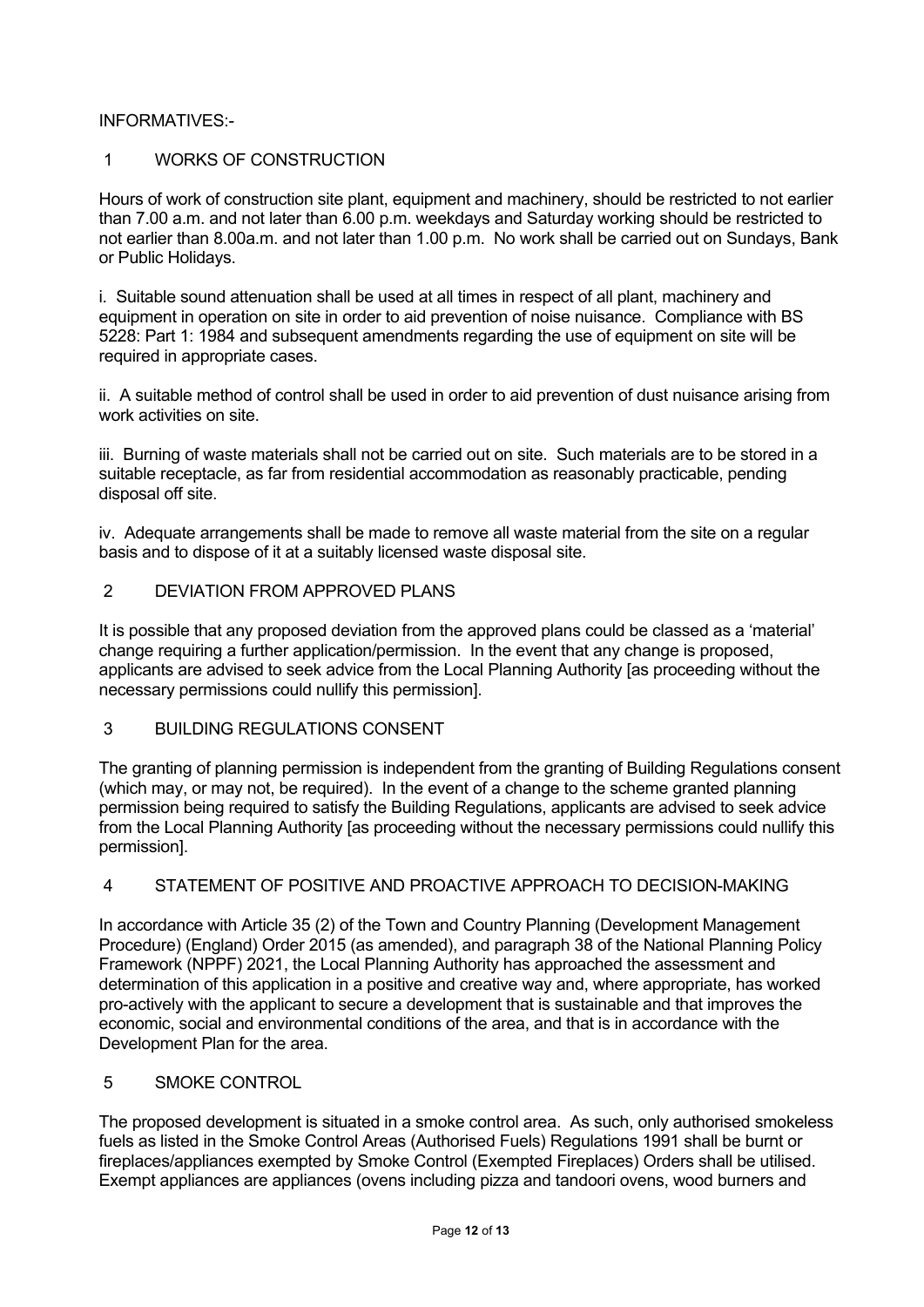# INFORMATIVES:-

# 1 WORKS OF CONSTRUCTION

Hours of work of construction site plant, equipment and machinery, should be restricted to not earlier than 7.00 a.m. and not later than 6.00 p.m. weekdays and Saturday working should be restricted to not earlier than 8.00a.m. and not later than 1.00 p.m. No work shall be carried out on Sundays, Bank or Public Holidays.

i. Suitable sound attenuation shall be used at all times in respect of all plant, machinery and equipment in operation on site in order to aid prevention of noise nuisance. Compliance with BS 5228: Part 1: 1984 and subsequent amendments regarding the use of equipment on site will be required in appropriate cases.

ii. A suitable method of control shall be used in order to aid prevention of dust nuisance arising from work activities on site.

iii. Burning of waste materials shall not be carried out on site. Such materials are to be stored in a suitable receptacle, as far from residential accommodation as reasonably practicable, pending disposal off site.

iv. Adequate arrangements shall be made to remove all waste material from the site on a regular basis and to dispose of it at a suitably licensed waste disposal site.

### 2 DEVIATION FROM APPROVED PLANS

It is possible that any proposed deviation from the approved plans could be classed as a 'material' change requiring a further application/permission. In the event that any change is proposed, applicants are advised to seek advice from the Local Planning Authority [as proceeding without the necessary permissions could nullify this permission].

# 3 BUILDING REGULATIONS CONSENT

The granting of planning permission is independent from the granting of Building Regulations consent (which may, or may not, be required). In the event of a change to the scheme granted planning permission being required to satisfy the Building Regulations, applicants are advised to seek advice from the Local Planning Authority [as proceeding without the necessary permissions could nullify this permission].

### 4 STATEMENT OF POSITIVE AND PROACTIVE APPROACH TO DECISION-MAKING

In accordance with Article 35 (2) of the Town and Country Planning (Development Management Procedure) (England) Order 2015 (as amended), and paragraph 38 of the National Planning Policy Framework (NPPF) 2021, the Local Planning Authority has approached the assessment and determination of this application in a positive and creative way and, where appropriate, has worked pro-actively with the applicant to secure a development that is sustainable and that improves the economic, social and environmental conditions of the area, and that is in accordance with the Development Plan for the area.

# 5 SMOKE CONTROL

The proposed development is situated in a smoke control area. As such, only authorised smokeless fuels as listed in the Smoke Control Areas (Authorised Fuels) Regulations 1991 shall be burnt or fireplaces/appliances exempted by Smoke Control (Exempted Fireplaces) Orders shall be utilised. Exempt appliances are appliances (ovens including pizza and tandoori ovens, wood burners and